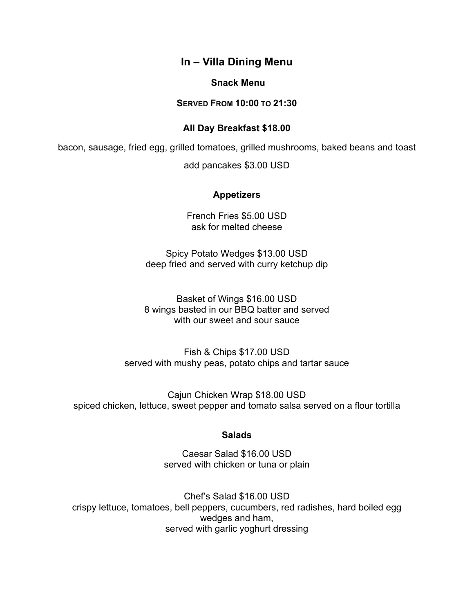# **In – Villa Dining Menu**

### **Snack Menu**

## **SERVED FROM 10:00 TO 21:30**

## **All Day Breakfast \$18.00**

bacon, sausage, fried egg, grilled tomatoes, grilled mushrooms, baked beans and toast

add pancakes \$3.00 USD

## **Appetizers**

French Fries \$5.00 USD ask for melted cheese

Spicy Potato Wedges \$13.00 USD deep fried and served with curry ketchup dip

Basket of Wings \$16.00 USD 8 wings basted in our BBQ batter and served with our sweet and sour sauce

Fish & Chips \$17.00 USD served with mushy peas, potato chips and tartar sauce

Cajun Chicken Wrap \$18.00 USD spiced chicken, lettuce, sweet pepper and tomato salsa served on a flour tortilla

## **Salads**

Caesar Salad \$16.00 USD served with chicken or tuna or plain

Chef's Salad \$16.00 USD crispy lettuce, tomatoes, bell peppers, cucumbers, red radishes, hard boiled egg wedges and ham, served with garlic yoghurt dressing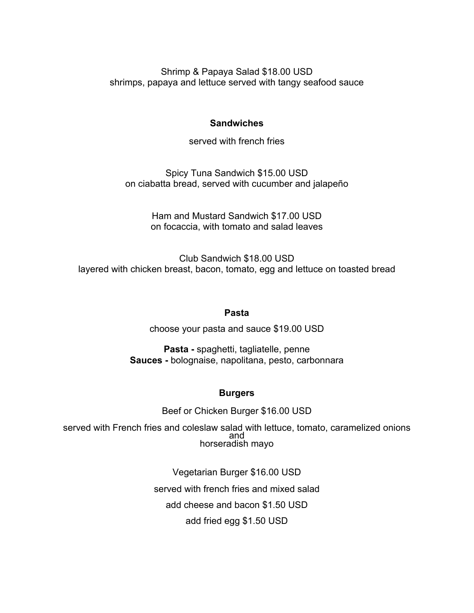Shrimp & Papaya Salad \$18.00 USD shrimps, papaya and lettuce served with tangy seafood sauce

## **Sandwiches**

served with french fries

Spicy Tuna Sandwich \$15.00 USD on ciabatta bread, served with cucumber and jalapeño

> Ham and Mustard Sandwich \$17.00 USD on focaccia, with tomato and salad leaves

Club Sandwich \$18.00 USD layered with chicken breast, bacon, tomato, egg and lettuce on toasted bread

## **Pasta**

choose your pasta and sauce \$19.00 USD

**Pasta -** spaghetti, tagliatelle, penne **Sauces -** bolognaise, napolitana, pesto, carbonnara

# **Burgers**

Beef or Chicken Burger \$16.00 USD

served with French fries and coleslaw salad with lettuce, tomato, caramelized onions and horseradish mayo

> Vegetarian Burger \$16.00 USD served with french fries and mixed salad add cheese and bacon \$1.50 USD add fried egg \$1.50 USD